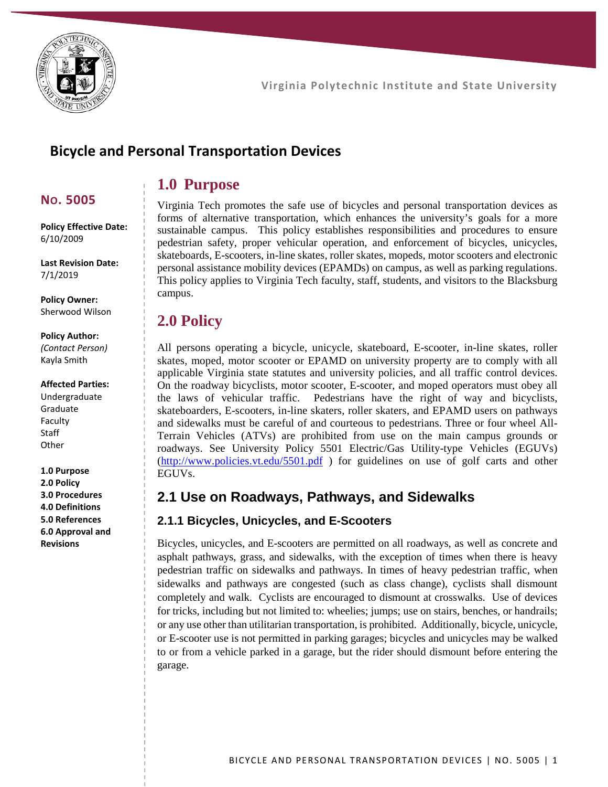

## **Bicycle and Personal Transportation Devices**

## **1.0 Purpose**

### **NO. 5005**

**Policy Effective Date:** 6/10/2009

**Last Revision Date:** 7/1/2019

**Policy Owner:** Sherwood Wilson

### **Policy Author:**

*(Contact Person)* Kayla Smith

#### **Affected Parties:**

Undergraduate Graduate Faculty **Staff Other** 

**1.0 Purpose 2.0 Policy 3.0 Procedures 4.0 Definitions 5.0 References 6.0 Approval and Revisions**

Virginia Tech promotes the safe use of bicycles and personal transportation devices as forms of alternative transportation, which enhances the university's goals for a more sustainable campus. This policy establishes responsibilities and procedures to ensure pedestrian safety, proper vehicular operation, and enforcement of bicycles, unicycles, skateboards, E-scooters, in-line skates, roller skates, mopeds, motor scooters and electronic personal assistance mobility devices (EPAMDs) on campus, as well as parking regulations. This policy applies to Virginia Tech faculty, staff, students, and visitors to the Blacksburg campus.

# **2.0 Policy**

All persons operating a bicycle, unicycle, skateboard, E-scooter, in-line skates, roller skates, moped, motor scooter or EPAMD on university property are to comply with all applicable Virginia state statutes and university policies, and all traffic control devices. On the roadway bicyclists, motor scooter, E-scooter, and moped operators must obey all the laws of vehicular traffic. Pedestrians have the right of way and bicyclists, skateboarders, E-scooters, in-line skaters, roller skaters, and EPAMD users on pathways and sidewalks must be careful of and courteous to pedestrians. Three or four wheel All-Terrain Vehicles (ATVs) are prohibited from use on the main campus grounds or roadways. See University Policy 5501 Electric/Gas Utility-type Vehicles (EGUVs) [\(http://www.policies.vt.edu/5501.pdf](http://www.policies.vt.edu/5501.pdf) ) for guidelines on use of golf carts and other EGUVs.

## **2.1 Use on Roadways, Pathways, and Sidewalks**

#### **2.1.1 Bicycles, Unicycles, and E-Scooters**

Bicycles, unicycles, and E-scooters are permitted on all roadways, as well as concrete and asphalt pathways, grass, and sidewalks, with the exception of times when there is heavy pedestrian traffic on sidewalks and pathways. In times of heavy pedestrian traffic, when sidewalks and pathways are congested (such as class change), cyclists shall dismount completely and walk. Cyclists are encouraged to dismount at crosswalks. Use of devices for tricks, including but not limited to: wheelies; jumps; use on stairs, benches, or handrails; or any use other than utilitarian transportation, is prohibited. Additionally, bicycle, unicycle, or E-scooter use is not permitted in parking garages; bicycles and unicycles may be walked to or from a vehicle parked in a garage, but the rider should dismount before entering the garage.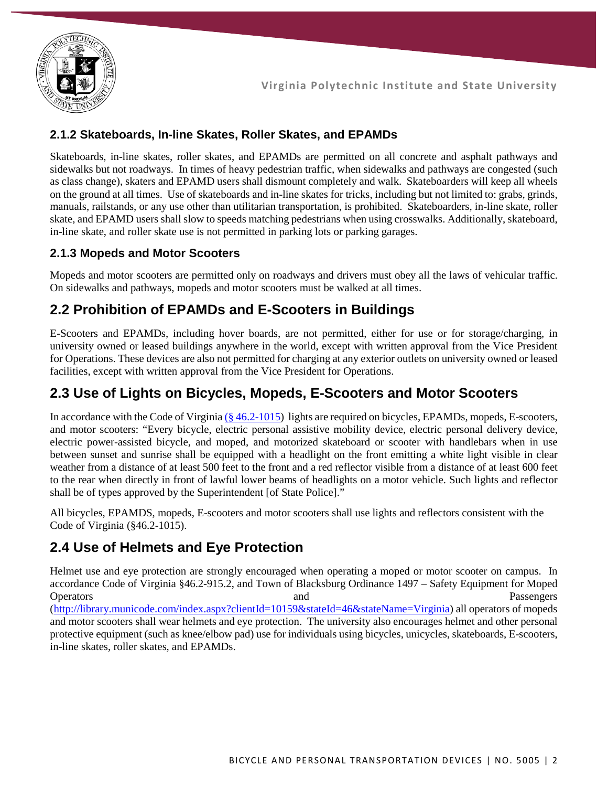

### **2.1.2 Skateboards, In-line Skates, Roller Skates, and EPAMDs**

Skateboards, in-line skates, roller skates, and EPAMDs are permitted on all concrete and asphalt pathways and sidewalks but not roadways. In times of heavy pedestrian traffic, when sidewalks and pathways are congested (such as class change), skaters and EPAMD users shall dismount completely and walk. Skateboarders will keep all wheels on the ground at all times. Use of skateboards and in-line skates for tricks, including but not limited to: grabs, grinds, manuals, railstands, or any use other than utilitarian transportation, is prohibited. Skateboarders, in-line skate, roller skate, and EPAMD users shall slow to speeds matching pedestrians when using crosswalks. Additionally, skateboard, in-line skate, and roller skate use is not permitted in parking lots or parking garages.

#### **2.1.3 Mopeds and Motor Scooters**

Mopeds and motor scooters are permitted only on roadways and drivers must obey all the laws of vehicular traffic. On sidewalks and pathways, mopeds and motor scooters must be walked at all times.

## **2.2 Prohibition of EPAMDs and E-Scooters in Buildings**

E-Scooters and EPAMDs, including hover boards, are not permitted, either for use or for storage/charging, in university owned or leased buildings anywhere in the world, except with written approval from the Vice President for Operations. These devices are also not permitted for charging at any exterior outlets on university owned or leased facilities, except with written approval from the Vice President for Operations.

## **2.3 Use of Lights on Bicycles, Mopeds, E-Scooters and Motor Scooters**

In accordance with the Code of Virgini[a \(§ 46.2-1015\)](https://law.lis.virginia.gov/vacode/title46.2/chapter10/section46.2-1015/) lights are required on bicycles, EPAMDs, mopeds, E-scooters, and motor scooters: "Every bicycle, electric personal assistive mobility device, electric personal delivery device, electric power-assisted bicycle, and moped, and motorized skateboard or scooter with handlebars when in use between sunset and sunrise shall be equipped with a headlight on the front emitting a white light visible in clear weather from a distance of at least 500 feet to the front and a red reflector visible from a distance of at least 600 feet to the rear when directly in front of lawful lower beams of headlights on a motor vehicle. Such lights and reflector shall be of types approved by the Superintendent [of State Police]."

All bicycles, EPAMDS, mopeds, E-scooters and motor scooters shall use lights and reflectors consistent with the Code of Virginia (§46.2-1015).

## **2.4 Use of Helmets and Eye Protection**

Helmet use and eye protection are strongly encouraged when operating a moped or motor scooter on campus. In accordance Code of Virginia §46.2-915.2, and Town of Blacksburg Ordinance 1497 – Safety Equipment for Moped Operators **and** Passengers **Passengers** [\(http://library.municode.com/index.aspx?clientId=10159&stateId=46&stateName=Virginia\)](http://library.municode.com/index.aspx?clientId=10159&stateId=46&stateName=Virginia) all operators of mopeds and motor scooters shall wear helmets and eye protection. The university also encourages helmet and other personal protective equipment (such as knee/elbow pad) use for individuals using bicycles, unicycles, skateboards, E-scooters, in-line skates, roller skates, and EPAMDs.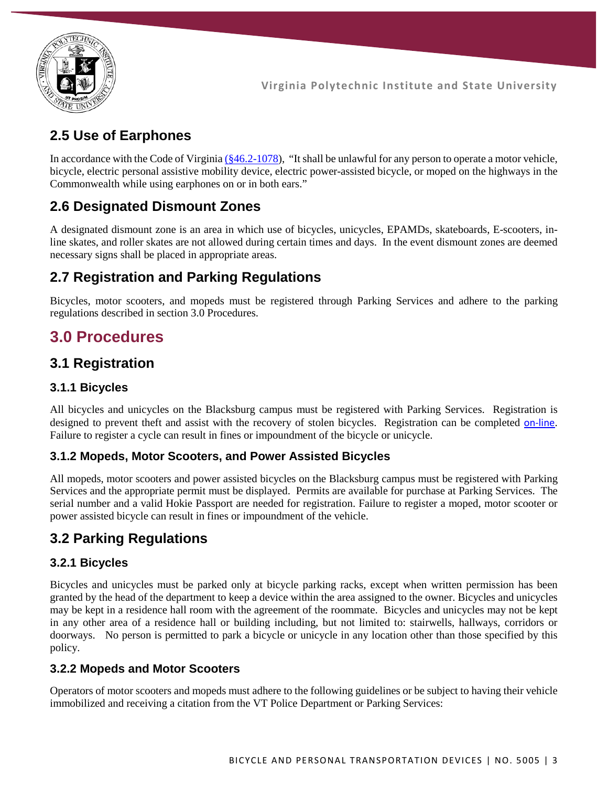

# **2.5 Use of Earphones**

In accordance with the Code of Virginia ( $\frac{646.2 - 1078}{8}$ ), "It shall be unlawful for any person to operate a motor vehicle, bicycle, electric personal assistive mobility device, electric power-assisted bicycle, or moped on the highways in the Commonwealth while using earphones on or in both ears."

# **2.6 Designated Dismount Zones**

A designated dismount zone is an area in which use of bicycles, unicycles, EPAMDs, skateboards, E-scooters, inline skates, and roller skates are not allowed during certain times and days. In the event dismount zones are deemed necessary signs shall be placed in appropriate areas.

# **2.7 Registration and Parking Regulations**

Bicycles, motor scooters, and mopeds must be registered through Parking Services and adhere to the parking regulations described in section 3.0 Procedures.

# **3.0 Procedures**

## **3.1 Registration**

### **3.1.1 Bicycles**

All bicycles and unicycles on the Blacksburg campus must be registered with Parking Services. Registration is designed to prevent theft and assist with the recovery of stolen bicycles. Registration can be completed [on-line](file://vpas.vt.edu/public/VPASOFFICE/Policies%20and%20Procedures/+University%20Policies/5000s%20Facilities%20Policies/5005%20Bicycle%20and%20Personal%20Transportation%20Devices/2019%20Revision/(https:/parking.vt.edu/)). Failure to register a cycle can result in fines or impoundment of the bicycle or unicycle.

#### **3.1.2 Mopeds, Motor Scooters, and Power Assisted Bicycles**

All mopeds, motor scooters and power assisted bicycles on the Blacksburg campus must be registered with Parking Services and the appropriate permit must be displayed. Permits are available for purchase at Parking Services. The serial number and a valid Hokie Passport are needed for registration. Failure to register a moped, motor scooter or power assisted bicycle can result in fines or impoundment of the vehicle.

## **3.2 Parking Regulations**

### **3.2.1 Bicycles**

Bicycles and unicycles must be parked only at bicycle parking racks, except when written permission has been granted by the head of the department to keep a device within the area assigned to the owner. Bicycles and unicycles may be kept in a residence hall room with the agreement of the roommate. Bicycles and unicycles may not be kept in any other area of a residence hall or building including, but not limited to: stairwells, hallways, corridors or doorways. No person is permitted to park a bicycle or unicycle in any location other than those specified by this policy.

#### **3.2.2 Mopeds and Motor Scooters**

Operators of motor scooters and mopeds must adhere to the following guidelines or be subject to having their vehicle immobilized and receiving a citation from the VT Police Department or Parking Services: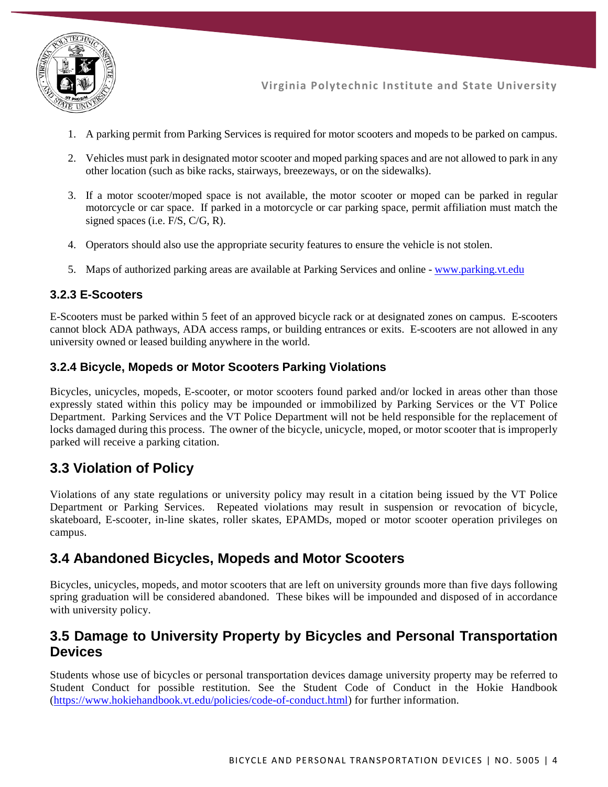

- 1. A parking permit from Parking Services is required for motor scooters and mopeds to be parked on campus.
- 2. Vehicles must park in designated motor scooter and moped parking spaces and are not allowed to park in any other location (such as bike racks, stairways, breezeways, or on the sidewalks).
- 3. If a motor scooter/moped space is not available, the motor scooter or moped can be parked in regular motorcycle or car space. If parked in a motorcycle or car parking space, permit affiliation must match the signed spaces (i.e. F/S, C/G, R).
- 4. Operators should also use the appropriate security features to ensure the vehicle is not stolen.
- 5. Maps of authorized parking areas are available at Parking Services and online [www.parking.vt.edu](http://www.parking.vt.edu/)

#### **3.2.3 E-Scooters**

E-Scooters must be parked within 5 feet of an approved bicycle rack or at designated zones on campus. E-scooters cannot block ADA pathways, ADA access ramps, or building entrances or exits. E-scooters are not allowed in any university owned or leased building anywhere in the world.

#### **3.2.4 Bicycle, Mopeds or Motor Scooters Parking Violations**

Bicycles, unicycles, mopeds, E-scooter, or motor scooters found parked and/or locked in areas other than those expressly stated within this policy may be impounded or immobilized by Parking Services or the VT Police Department. Parking Services and the VT Police Department will not be held responsible for the replacement of locks damaged during this process. The owner of the bicycle, unicycle, moped, or motor scooter that is improperly parked will receive a parking citation.

## **3.3 Violation of Policy**

Violations of any state regulations or university policy may result in a citation being issued by the VT Police Department or Parking Services. Repeated violations may result in suspension or revocation of bicycle, skateboard, E-scooter, in-line skates, roller skates, EPAMDs, moped or motor scooter operation privileges on campus.

## **3.4 Abandoned Bicycles, Mopeds and Motor Scooters**

Bicycles, unicycles, mopeds, and motor scooters that are left on university grounds more than five days following spring graduation will be considered abandoned. These bikes will be impounded and disposed of in accordance with university policy.

## **3.5 Damage to University Property by Bicycles and Personal Transportation Devices**

Students whose use of bicycles or personal transportation devices damage university property may be referred to Student Conduct for possible restitution. See the Student Code of Conduct in the Hokie Handbook [\(https://www.hokiehandbook.vt.edu/policies/code-of-conduct.html\)](https://www.hokiehandbook.vt.edu/policies/code-of-conduct.html) for further information.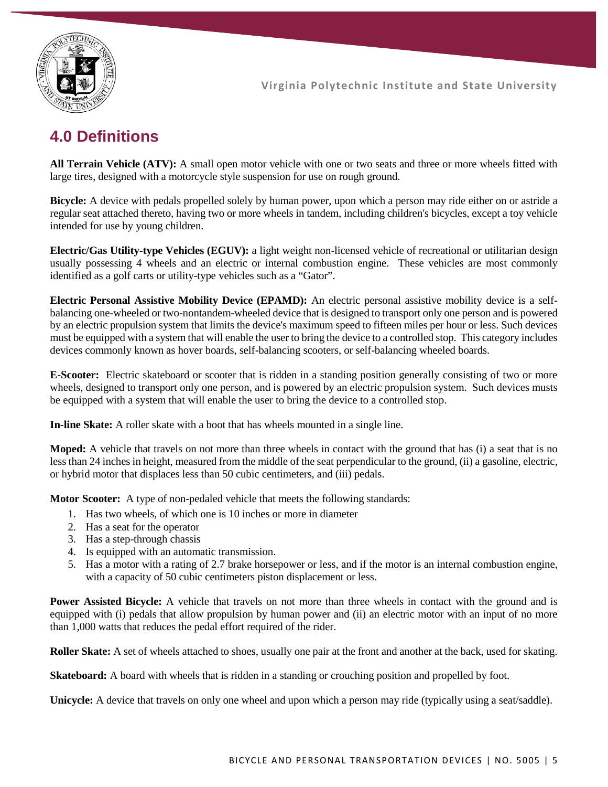

# **4.0 Definitions**

**All Terrain Vehicle (ATV):** A small open motor vehicle with one or two seats and three or more wheels fitted with large tires, designed with a motorcycle style suspension for use on rough ground.

**Bicycle:** A device with pedals propelled solely by human power, upon which a person may ride either on or astride a regular seat attached thereto, having two or more wheels in tandem, including children's bicycles, except a toy vehicle intended for use by young children.

**Electric/Gas Utility-type Vehicles (EGUV):** a light weight non-licensed vehicle of recreational or utilitarian design usually possessing 4 wheels and an electric or internal combustion engine. These vehicles are most commonly identified as a golf carts or utility-type vehicles such as a "Gator".

**Electric Personal Assistive Mobility Device (EPAMD):** An electric personal assistive mobility device is a selfbalancing one-wheeled or two-nontandem-wheeled device that is designed to transport only one person and is powered by an electric propulsion system that limits the device's maximum speed to fifteen miles per hour or less. Such devices must be equipped with a system that will enable the user to bring the device to a controlled stop. This category includes devices commonly known as hover boards, self-balancing scooters, or self-balancing wheeled boards.

**E-Scooter:** Electric skateboard or scooter that is ridden in a standing position generally consisting of two or more wheels, designed to transport only one person, and is powered by an electric propulsion system. Such devices musts be equipped with a system that will enable the user to bring the device to a controlled stop.

**In-line Skate:** A roller skate with a boot that has wheels mounted in a single line.

**Moped:** A vehicle that travels on not more than three wheels in contact with the ground that has (i) a seat that is no less than 24 inches in height, measured from the middle of the seat perpendicular to the ground, (ii) a gasoline, electric, or hybrid motor that displaces less than 50 cubic centimeters, and (iii) pedals.

**Motor Scooter:** A type of non-pedaled vehicle that meets the following standards:

- 1. Has two wheels, of which one is 10 inches or more in diameter
- 2. Has a seat for the operator
- 3. Has a step-through chassis
- 4. Is equipped with an automatic transmission.
- 5. Has a motor with a rating of 2.7 brake horsepower or less, and if the motor is an internal combustion engine, with a capacity of 50 cubic centimeters piston displacement or less.

Power Assisted Bicycle: A vehicle that travels on not more than three wheels in contact with the ground and is equipped with (i) pedals that allow propulsion by human power and (ii) an electric motor with an input of no more than 1,000 watts that reduces the pedal effort required of the rider.

**Roller Skate:** A set of wheels attached to shoes, usually one pair at the front and another at the back, used for skating.

**Skateboard:** A board with wheels that is ridden in a standing or crouching position and propelled by foot.

**Unicycle:** A device that travels on only one wheel and upon which a person may ride (typically using a seat/saddle).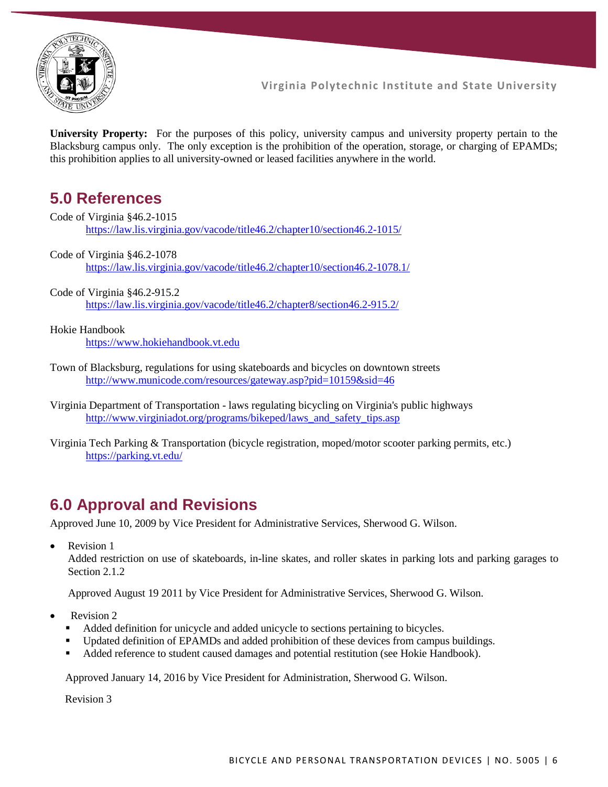

**University Property:** For the purposes of this policy, university campus and university property pertain to the Blacksburg campus only. The only exception is the prohibition of the operation, storage, or charging of EPAMDs; this prohibition applies to all university-owned or leased facilities anywhere in the world.

# **5.0 References**

Code of Virginia §46.2-1015 <https://law.lis.virginia.gov/vacode/title46.2/chapter10/section46.2-1015/>

Code of Virginia §46.2-1078 <https://law.lis.virginia.gov/vacode/title46.2/chapter10/section46.2-1078.1/>

Code of Virginia §46.2-915.2 https://law.lis.virginia.gov/vacode/title46.2/chapter8/section46.2-915.2/

Hokie Handbook

[https://www.hokiehandbook.vt.edu](https://www.hokiehandbook.vt.edu/)

Town of Blacksburg, regulations for using skateboards and bicycles on downtown streets <http://www.municode.com/resources/gateway.asp?pid=10159&sid=46>

# **6.0 Approval and Revisions**

Approved June 10, 2009 by Vice President for Administrative Services, Sherwood G. Wilson.

Revision 1

Added restriction on use of skateboards, in-line skates, and roller skates in parking lots and parking garages to Section 2.1.2

Approved August 19 2011 by Vice President for Administrative Services, Sherwood G. Wilson.

- Revision 2
	- Added definition for unicycle and added unicycle to sections pertaining to bicycles.
	- Updated definition of EPAMDs and added prohibition of these devices from campus buildings.
	- Added reference to student caused damages and potential restitution (see Hokie Handbook).

Approved January 14, 2016 by Vice President for Administration, Sherwood G. Wilson.

Revision 3

Virginia Department of Transportation - laws regulating bicycling on Virginia's public highways [http://www.virginiadot.org/programs/bikeped/laws\\_and\\_safety\\_tips.asp](http://www.virginiadot.org/programs/bikeped/laws_and_safety_tips.asp)

Virginia Tech Parking & Transportation (bicycle registration, moped/motor scooter parking permits, etc.) <https://parking.vt.edu/>